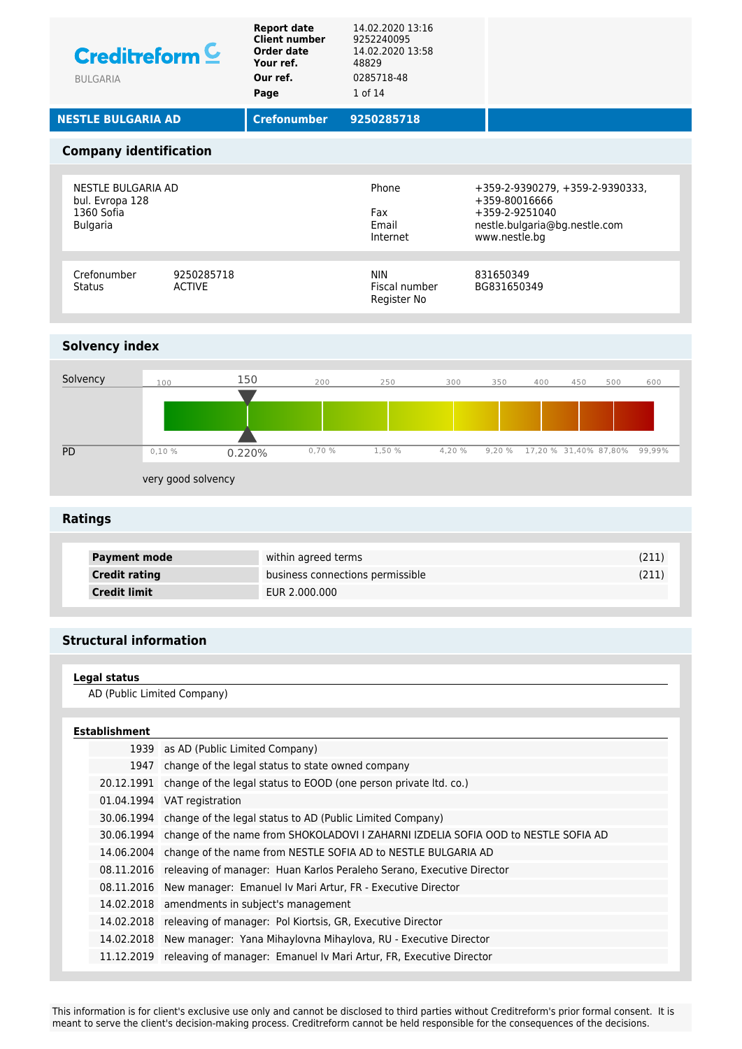| <b>Creditreform C</b><br><b>BULGARIA</b>                               | <b>Report date</b><br><b>Client number</b><br>Order date<br>Your ref.<br>Our ref.<br>Page | 14.02.2020 13:16<br>9252240095<br>14.02.2020 13:58<br>48829<br>0285718-48<br>1 of 14 |                                                                                                                      |                   |
|------------------------------------------------------------------------|-------------------------------------------------------------------------------------------|--------------------------------------------------------------------------------------|----------------------------------------------------------------------------------------------------------------------|-------------------|
| <b>NESTLE BULGARIA AD</b>                                              | <b>Crefonumber</b>                                                                        | 9250285718                                                                           |                                                                                                                      |                   |
| <b>Company identification</b>                                          |                                                                                           |                                                                                      |                                                                                                                      |                   |
| NESTLE BULGARIA AD<br>bul. Evropa 128<br>1360 Sofia<br><b>Bulgaria</b> |                                                                                           | Phone<br>Fax<br>Fmail<br>Internet                                                    | +359-2-9390279, +359-2-9390333,<br>+359-80016666<br>+359-2-9251040<br>nestle.bulgaria@bg.nestle.com<br>www.nestle.bg |                   |
| Crefonumber<br>9250285718<br><b>ACTIVE</b><br><b>Status</b>            |                                                                                           | <b>NIN</b><br>Fiscal number<br>Register No                                           | 831650349<br>BG831650349                                                                                             |                   |
| <b>Solvency index</b>                                                  |                                                                                           |                                                                                      |                                                                                                                      |                   |
|                                                                        |                                                                                           |                                                                                      |                                                                                                                      |                   |
| Solvency<br>100                                                        | 150<br>200                                                                                | 250<br>300                                                                           | 350<br>400                                                                                                           | 450<br>500<br>600 |
|                                                                        |                                                                                           |                                                                                      |                                                                                                                      |                   |



very good solvency

## **Ratings**

PD

| <b>Payment mode</b>  | within agreed terms              |  |
|----------------------|----------------------------------|--|
| <b>Credit rating</b> | business connections permissible |  |
| <b>Credit limit</b>  | EUR 2.000.000                    |  |

# **Structural information**

| Legal status                |  |
|-----------------------------|--|
| AD (Public Limited Company) |  |

### **Establishment**

| 1939 as AD (Public Limited Company)                                                           |
|-----------------------------------------------------------------------------------------------|
| 1947 change of the legal status to state owned company                                        |
| 20.12.1991 change of the legal status to EOOD (one person private ltd. co.)                   |
| 01.04.1994 VAT registration                                                                   |
| 30.06.1994 change of the legal status to AD (Public Limited Company)                          |
| 30.06.1994 change of the name from SHOKOLADOVI I ZAHARNI IZDELIA SOFIA OOD to NESTLE SOFIA AD |
| 14.06.2004 change of the name from NESTLE SOFIA AD to NESTLE BULGARIA AD                      |
| 08.11.2016 releaving of manager: Huan Karlos Peraleho Serano, Executive Director              |
| 08.11.2016 New manager: Emanuel Iv Mari Artur, FR - Executive Director                        |
| 14.02.2018 amendments in subject's management                                                 |
| 14.02.2018 releaving of manager: Pol Kiortsis, GR, Executive Director                         |
| 14.02.2018 New manager: Yana Mihaylovna Mihaylova, RU - Executive Director                    |
| 11.12.2019 releaving of manager: Emanuel Iv Mari Artur, FR, Executive Director                |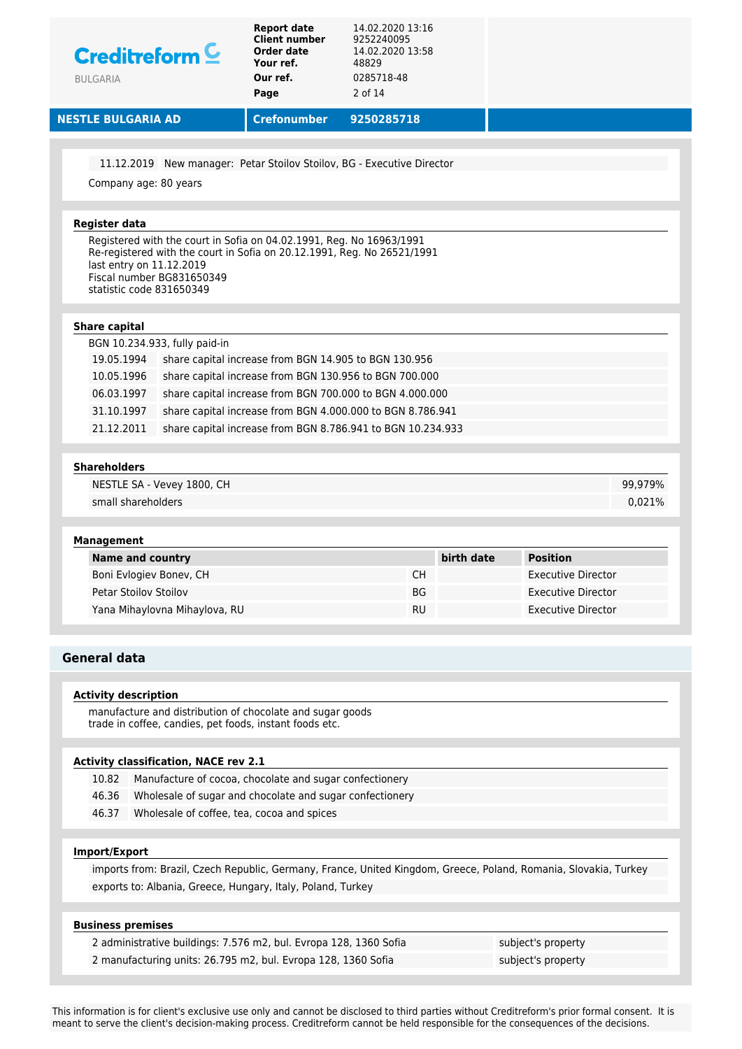| Creditreform $C$<br><b>BULGARIA</b>                                               | <b>Report date</b><br><b>Client number</b><br>Order date<br>Your ref.<br>Our ref.<br>Page | 14.02.2020 13:16<br>9252240095<br>14.02.2020 13:58<br>48829<br>0285718-48<br>2 of 14 |            |                           |         |
|-----------------------------------------------------------------------------------|-------------------------------------------------------------------------------------------|--------------------------------------------------------------------------------------|------------|---------------------------|---------|
| <b>NESTLE BULGARIA AD</b>                                                         | <b>Crefonumber</b>                                                                        | 9250285718                                                                           |            |                           |         |
|                                                                                   |                                                                                           |                                                                                      |            |                           |         |
|                                                                                   | 11.12.2019 New manager: Petar Stoilov Stoilov, BG - Executive Director                    |                                                                                      |            |                           |         |
| Company age: 80 years                                                             |                                                                                           |                                                                                      |            |                           |         |
| <b>Register data</b>                                                              |                                                                                           |                                                                                      |            |                           |         |
| last entry on 11.12.2019<br>Fiscal number BG831650349<br>statistic code 831650349 | Re-registered with the court in Sofia on 20.12.1991, Reg. No 26521/1991                   |                                                                                      |            |                           |         |
| <b>Share capital</b>                                                              |                                                                                           |                                                                                      |            |                           |         |
| BGN 10.234.933, fully paid-in                                                     |                                                                                           |                                                                                      |            |                           |         |
| 19.05.1994                                                                        | share capital increase from BGN 14.905 to BGN 130.956                                     |                                                                                      |            |                           |         |
| 10.05.1996                                                                        | share capital increase from BGN 130.956 to BGN 700.000                                    |                                                                                      |            |                           |         |
| 06.03.1997                                                                        | share capital increase from BGN 700.000 to BGN 4.000.000                                  |                                                                                      |            |                           |         |
| 31.10.1997                                                                        | share capital increase from BGN 4.000.000 to BGN 8.786.941                                |                                                                                      |            |                           |         |
| 21.12.2011                                                                        | share capital increase from BGN 8.786.941 to BGN 10.234.933                               |                                                                                      |            |                           |         |
| <b>Shareholders</b>                                                               |                                                                                           |                                                                                      |            |                           |         |
| NESTLE SA - Vevey 1800, CH                                                        |                                                                                           |                                                                                      |            |                           | 99,979% |
| small shareholders                                                                |                                                                                           |                                                                                      |            |                           | 0,021%  |
|                                                                                   |                                                                                           |                                                                                      |            |                           |         |
| <b>Management</b>                                                                 |                                                                                           |                                                                                      |            |                           |         |
| <b>Name and country</b>                                                           |                                                                                           |                                                                                      | birth date | <b>Position</b>           |         |
| Boni Evlogiev Bonev, CH                                                           |                                                                                           | СH                                                                                   |            | Executive Director        |         |
| <b>Petar Stoilov Stoilov</b>                                                      |                                                                                           | BG                                                                                   |            | <b>Executive Director</b> |         |
| Yana Mihaylovna Mihaylova, RU                                                     |                                                                                           | <b>RU</b>                                                                            |            | <b>Executive Director</b> |         |
| <b>General data</b>                                                               |                                                                                           |                                                                                      |            |                           |         |
| <b>Activity description</b>                                                       |                                                                                           |                                                                                      |            |                           |         |
|                                                                                   | manufacture and distribution of chocolate and sugar goods                                 |                                                                                      |            |                           |         |
|                                                                                   | trade in coffee, candies, pet foods, instant foods etc.                                   |                                                                                      |            |                           |         |

### **Activity classification, NACE rev 2.1**

- 10.82 Manufacture of cocoa, chocolate and sugar confectionery
- 46.36 Wholesale of sugar and chocolate and sugar confectionery
- 46.37 Wholesale of coffee, tea, cocoa and spices

## **Import/Export**

imports from: Brazil, Czech Republic, Germany, France, United Kingdom, Greece, Poland, Romania, Slovakia, Turkey exports to: Albania, Greece, Hungary, Italy, Poland, Turkey

### **Business premises**

2 administrative buildings: 7.576 m2, bul. Evropa 128, 1360 Sofia subject's property 2 manufacturing units: 26.795 m2, bul. Evropa 128, 1360 Sofia subject's property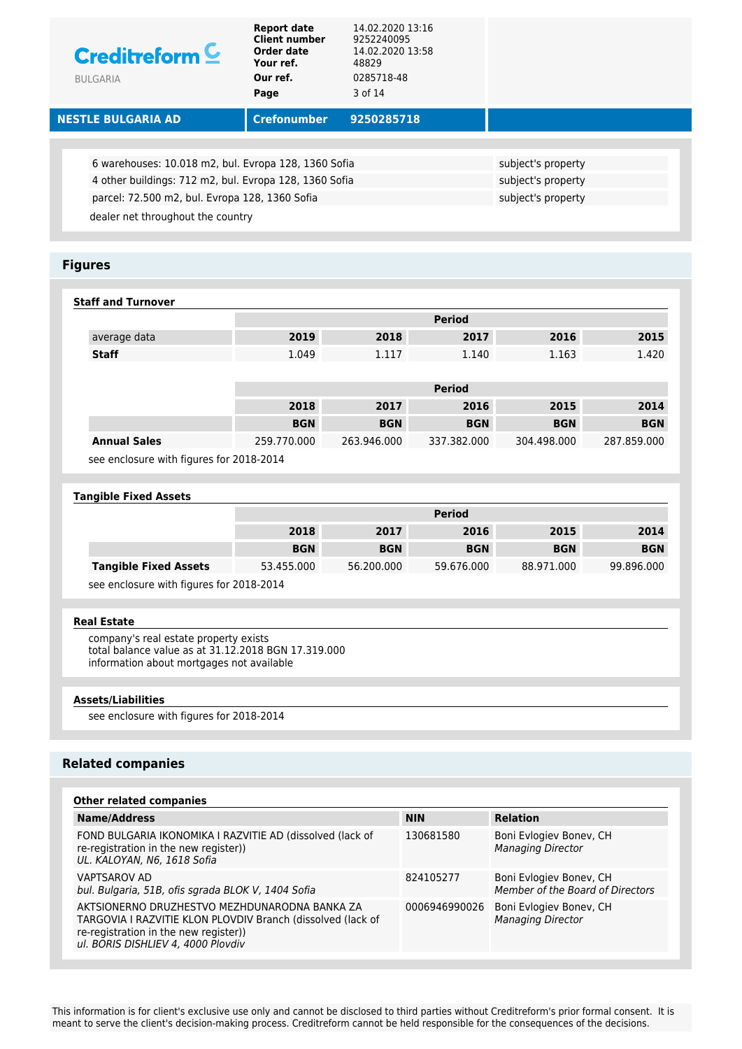| Creditreform <sup>C</sup><br><b>BULGARIA</b>           | <b>Report date</b><br><b>Client number</b><br>Order date<br>Your ref.<br>Our ref.<br>Page | 14.02.2020 13:16<br>9252240095<br>14.02.2020 13:58<br>48829<br>0285718-48<br>3 of 14 |                    |
|--------------------------------------------------------|-------------------------------------------------------------------------------------------|--------------------------------------------------------------------------------------|--------------------|
| <b>NESTLE BULGARIA AD</b>                              | <b>Crefonumber</b>                                                                        | 9250285718                                                                           |                    |
|                                                        |                                                                                           |                                                                                      |                    |
| 6 warehouses: 10.018 m2, bul. Evropa 128, 1360 Sofia   |                                                                                           |                                                                                      | subject's property |
| 4 other buildings: 712 m2, bul. Evropa 128, 1360 Sofia |                                                                                           |                                                                                      | subject's property |
| parcel: 72.500 m2, bul. Evropa 128, 1360 Sofia         |                                                                                           |                                                                                      | subject's property |
| dealer net throughout the country                      |                                                                                           |                                                                                      |                    |

## **Figures**

| <b>Staff and Turnover</b> |       |       |               |       |       |
|---------------------------|-------|-------|---------------|-------|-------|
|                           |       |       | <b>Period</b> |       |       |
| average data              | 2019  | 2018  | 2017          | 2016  | 2015  |
| <b>Staff</b>              | 1.049 | 1.117 | 1.140         | 1.163 | 1.420 |
|                           |       |       |               |       |       |
|                           |       |       | <b>Period</b> |       |       |

|                                          | 2018        | 2017        | 2016        | 2015        | 2014        |
|------------------------------------------|-------------|-------------|-------------|-------------|-------------|
|                                          | <b>BGN</b>  | <b>BGN</b>  | <b>BGN</b>  | <b>BGN</b>  | <b>BGN</b>  |
| <b>Annual Sales</b>                      | 259.770.000 | 263.946.000 | 337.382.000 | 304.498.000 | 287.859.000 |
| see enclosure with figures for 2018-2014 |             |             |             |             |             |

ure with figures for 2018-2014

### **Tangible Fixed Assets**

|                              |            |            | <b>Period</b> |            |            |
|------------------------------|------------|------------|---------------|------------|------------|
|                              | 2018       | 2017       | 2016          | 2015       | 2014       |
|                              | <b>BGN</b> | <b>BGN</b> | <b>BGN</b>    | <b>BGN</b> | <b>BGN</b> |
| <b>Tangible Fixed Assets</b> | 53.455.000 | 56.200.000 | 59.676.000    | 88.971.000 | 99.896.000 |
|                              |            |            |               |            |            |

see enclosure with figures for 2018-2014

#### **Real Estate**

company's real estate property exists total balance value as at 31.12.2018 BGN 17.319.000 information about mortgages not available

### **Assets/Liabilities**

see enclosure with figures for 2018-2014

### **Related companies**

| <b>Other related companies</b>                                                                                                                                                              |               |                                                             |
|---------------------------------------------------------------------------------------------------------------------------------------------------------------------------------------------|---------------|-------------------------------------------------------------|
| <b>Name/Address</b>                                                                                                                                                                         | <b>NIN</b>    | <b>Relation</b>                                             |
| FOND BULGARIA IKONOMIKA I RAZVITIE AD (dissolved (lack of<br>re-registration in the new register))<br>UL. KALOYAN, N6, 1618 Sofia                                                           | 130681580     | Boni Evlogiev Bonev, CH<br><b>Managing Director</b>         |
| <b>VAPTSAROV AD</b><br>bul. Bulgaria, 51B, ofis sgrada BLOK V, 1404 Sofia                                                                                                                   | 824105277     | Boni Evlogiev Bonev, CH<br>Member of the Board of Directors |
| AKTSIONERNO DRUZHESTVO MEZHDUNARODNA BANKA ZA<br>TARGOVIA I RAZVITIE KLON PLOVDIV Branch (dissolved (lack of<br>re-registration in the new register))<br>ul. BORIS DISHLIEV 4, 4000 Plovdiv | 0006946990026 | Boni Evlogiev Bonev, CH<br><b>Managing Director</b>         |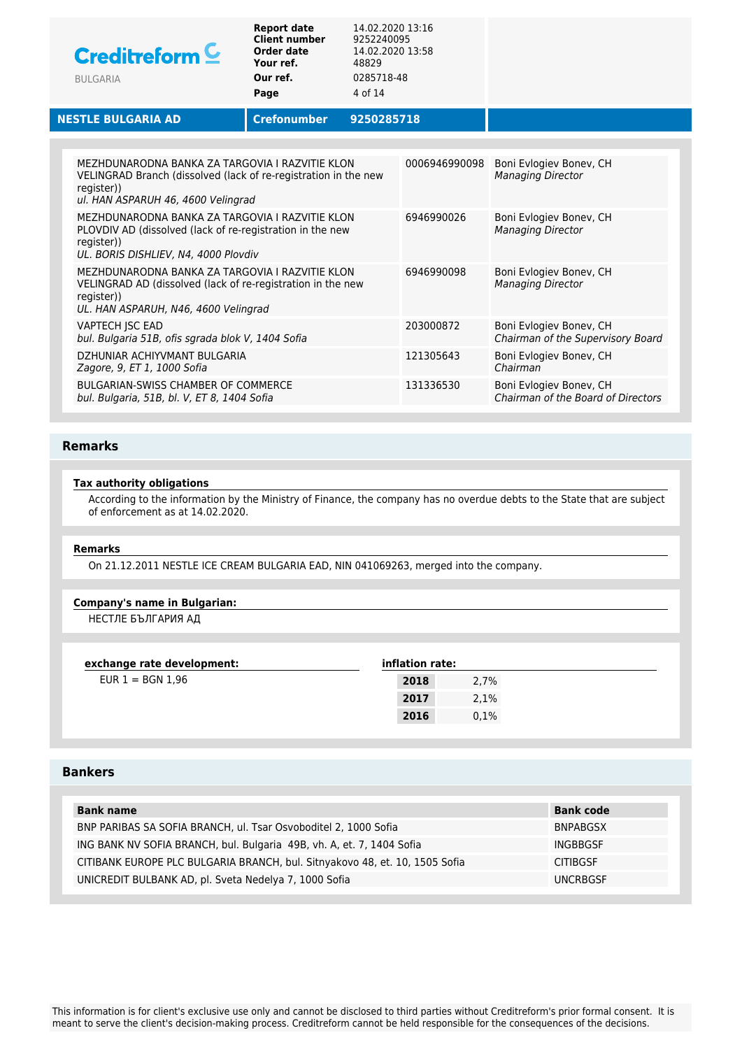| Creditreform <sup>C</sup><br><b>BULGARIA</b>                                                                                                                           | <b>Report date</b><br><b>Client number</b><br>Order date<br>Your ref.<br>Our ref.<br>Page | 14.02.2020 13:16<br>9252240095<br>14.02.2020 13:58<br>48829<br>0285718-48<br>4 of 14 |               |                                                               |
|------------------------------------------------------------------------------------------------------------------------------------------------------------------------|-------------------------------------------------------------------------------------------|--------------------------------------------------------------------------------------|---------------|---------------------------------------------------------------|
| <b>NESTLE BULGARIA AD</b>                                                                                                                                              | <b>Crefonumber</b>                                                                        | 9250285718                                                                           |               |                                                               |
|                                                                                                                                                                        |                                                                                           |                                                                                      |               |                                                               |
| MEZHDUNARODNA BANKA ZA TARGOVIA I RAZVITIE KLON<br>VELINGRAD Branch (dissolved (lack of re-registration in the new<br>register))<br>ul. HAN ASPARUH 46, 4600 Velingrad |                                                                                           |                                                                                      | 0006946990098 | Boni Evlogiev Bonev, CH<br><b>Managing Director</b>           |
| MEZHDUNARODNA BANKA ZA TARGOVIA I RAZVITIE KLON<br>PLOVDIV AD (dissolved (lack of re-registration in the new<br>register))<br>UL. BORIS DISHLIEV, N4, 4000 Plovdiv     |                                                                                           |                                                                                      | 6946990026    | Boni Evlogiev Bonev, CH<br><b>Managing Director</b>           |
| MEZHDUNARODNA BANKA ZA TARGOVIA I RAZVITIE KLON<br>VELINGRAD AD (dissolved (lack of re-registration in the new<br>register))<br>UL. HAN ASPARUH, N46, 4600 Velingrad   |                                                                                           |                                                                                      | 6946990098    | Boni Evlogiev Bonev, CH<br><b>Managing Director</b>           |
| VAPTECH JSC EAD<br>bul. Bulgaria 51B, ofis sgrada blok V, 1404 Sofia                                                                                                   |                                                                                           |                                                                                      | 203000872     | Boni Evlogiev Bonev, CH<br>Chairman of the Supervisory Board  |
| DZHUNIAR ACHIYVMANT BULGARIA<br>Zagore, 9, ET 1, 1000 Sofia                                                                                                            |                                                                                           |                                                                                      | 121305643     | Boni Evlogiev Bonev, CH<br>Chairman                           |
| <b>BULGARIAN-SWISS CHAMBER OF COMMERCE</b><br>bul. Bulgaria, 51B, bl. V, ET 8, 1404 Sofia                                                                              |                                                                                           |                                                                                      | 131336530     | Boni Evlogiev Bonev, CH<br>Chairman of the Board of Directors |

## **Remarks**

## **Tax authority obligations**

According to the information by the Ministry of Finance, the company has no overdue debts to the State that are subject of enforcement as at 14.02.2020.

#### **Remarks**

On 21.12.2011 NESTLE ICE CREAM BULGARIA EAD, NIN 041069263, merged into the company.

### **Company's name in Bulgarian:**

НЕСТЛЕ БЪЛГАРИЯ АД

| exchange rate development: | inflation rate: |      |
|----------------------------|-----------------|------|
| $EUR 1 = BGN 1.96$         | 2018            | 2.7% |
|                            | 2017            | 2,1% |
|                            | 2016            | 0.1% |

## **Bankers**

| <b>Bank name</b>                                                            | <b>Bank code</b> |
|-----------------------------------------------------------------------------|------------------|
| BNP PARIBAS SA SOFIA BRANCH, ul. Tsar Osvoboditel 2, 1000 Sofia             | <b>BNPABGSX</b>  |
| ING BANK NV SOFIA BRANCH, bul. Bulgaria 49B, vh. A, et. 7, 1404 Sofia       | INGBBGSF         |
| CITIBANK EUROPE PLC BULGARIA BRANCH, bul. Sitnyakovo 48, et. 10, 1505 Sofia | <b>CITIBGSF</b>  |
| UNICREDIT BULBANK AD, pl. Sveta Nedelya 7, 1000 Sofia                       | <b>UNCRBGSF</b>  |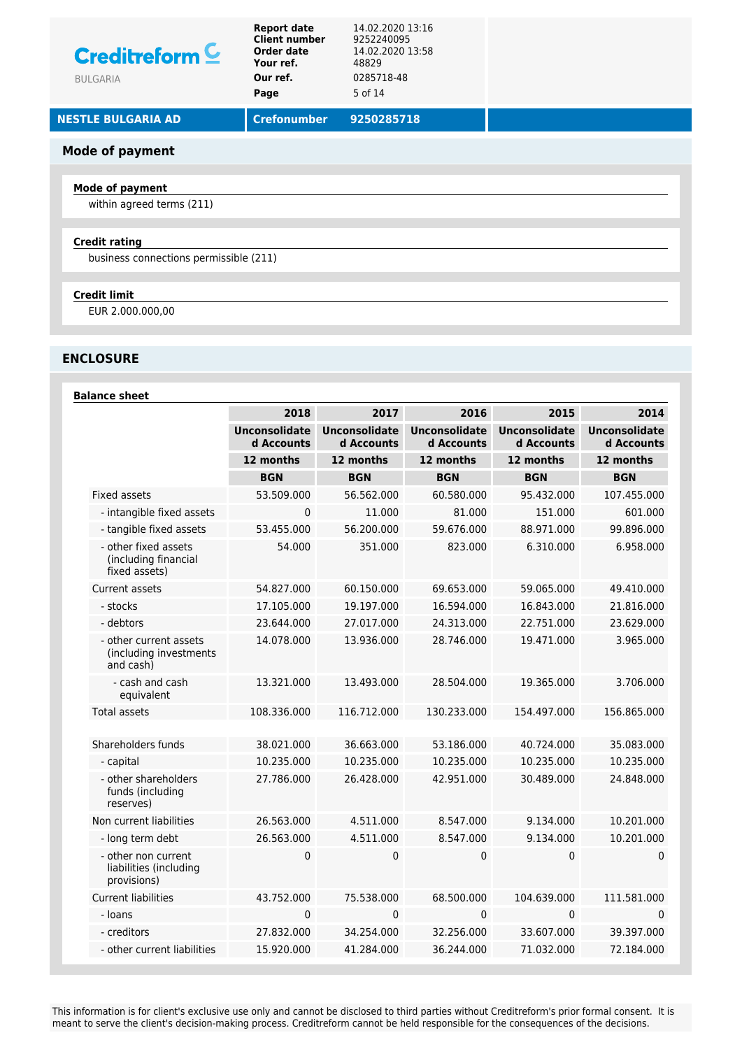## **Mode of payment**

### **Mode of payment**

within agreed terms (211)

### **Credit rating**

business connections permissible (211)

### **Credit limit**

EUR 2.000.000,00

## **ENCLOSURE**

### **Balance sheet**

|                                                               | 2018                               | 2017                               | 2016                               | 2015                               | 2014                               |
|---------------------------------------------------------------|------------------------------------|------------------------------------|------------------------------------|------------------------------------|------------------------------------|
|                                                               | <b>Unconsolidate</b><br>d Accounts | <b>Unconsolidate</b><br>d Accounts | <b>Unconsolidate</b><br>d Accounts | <b>Unconsolidate</b><br>d Accounts | <b>Unconsolidate</b><br>d Accounts |
|                                                               | 12 months                          | 12 months                          | 12 months                          | 12 months                          | 12 months                          |
|                                                               | <b>BGN</b>                         | <b>BGN</b>                         | <b>BGN</b>                         | <b>BGN</b>                         | <b>BGN</b>                         |
| <b>Fixed assets</b>                                           | 53.509.000                         | 56.562.000                         | 60.580.000                         | 95.432.000                         | 107.455.000                        |
| - intangible fixed assets                                     | 0                                  | 11.000                             | 81.000                             | 151.000                            | 601.000                            |
| - tangible fixed assets                                       | 53.455.000                         | 56.200.000                         | 59.676.000                         | 88.971.000                         | 99.896.000                         |
| - other fixed assets<br>(including financial<br>fixed assets) | 54.000                             | 351.000                            | 823.000                            | 6.310.000                          | 6.958.000                          |
| Current assets                                                | 54.827.000                         | 60.150.000                         | 69.653.000                         | 59.065.000                         | 49.410.000                         |
| - stocks                                                      | 17.105.000                         | 19.197.000                         | 16.594.000                         | 16.843.000                         | 21.816.000                         |
| - debtors                                                     | 23.644.000                         | 27.017.000                         | 24.313.000                         | 22.751.000                         | 23.629.000                         |
| - other current assets<br>(including investments<br>and cash) | 14.078.000                         | 13.936.000                         | 28.746.000                         | 19.471.000                         | 3.965.000                          |
| - cash and cash<br>equivalent                                 | 13.321.000                         | 13.493.000                         | 28.504.000                         | 19.365.000                         | 3.706.000                          |
| Total assets                                                  | 108.336.000                        | 116.712.000                        | 130.233.000                        | 154.497.000                        | 156.865.000                        |
| Shareholders funds                                            | 38.021.000                         | 36.663.000                         | 53.186.000                         | 40.724.000                         | 35.083.000                         |
| - capital                                                     | 10.235.000                         | 10.235.000                         | 10.235.000                         | 10.235.000                         | 10.235.000                         |
| - other shareholders<br>funds (including<br>reserves)         | 27.786.000                         | 26.428.000                         | 42.951.000                         | 30.489.000                         | 24.848.000                         |
| Non current liabilities                                       | 26.563.000                         | 4.511.000                          | 8.547.000                          | 9.134.000                          | 10.201.000                         |
| - long term debt                                              | 26.563.000                         | 4.511.000                          | 8.547.000                          | 9.134.000                          | 10.201.000                         |
| - other non current<br>liabilities (including<br>provisions)  | 0                                  | 0                                  | 0                                  | 0                                  | $\mathbf 0$                        |
| <b>Current liabilities</b>                                    | 43.752.000                         | 75.538.000                         | 68.500.000                         | 104.639.000                        | 111.581.000                        |
| - Ioans                                                       | 0                                  | $\mathbf{0}$                       | 0                                  | 0                                  | $\mathbf{0}$                       |
| - creditors                                                   | 27.832.000                         | 34.254.000                         | 32.256.000                         | 33.607.000                         | 39.397.000                         |
| - other current liabilities                                   | 15.920.000                         | 41.284.000                         | 36.244.000                         | 71.032.000                         | 72.184.000                         |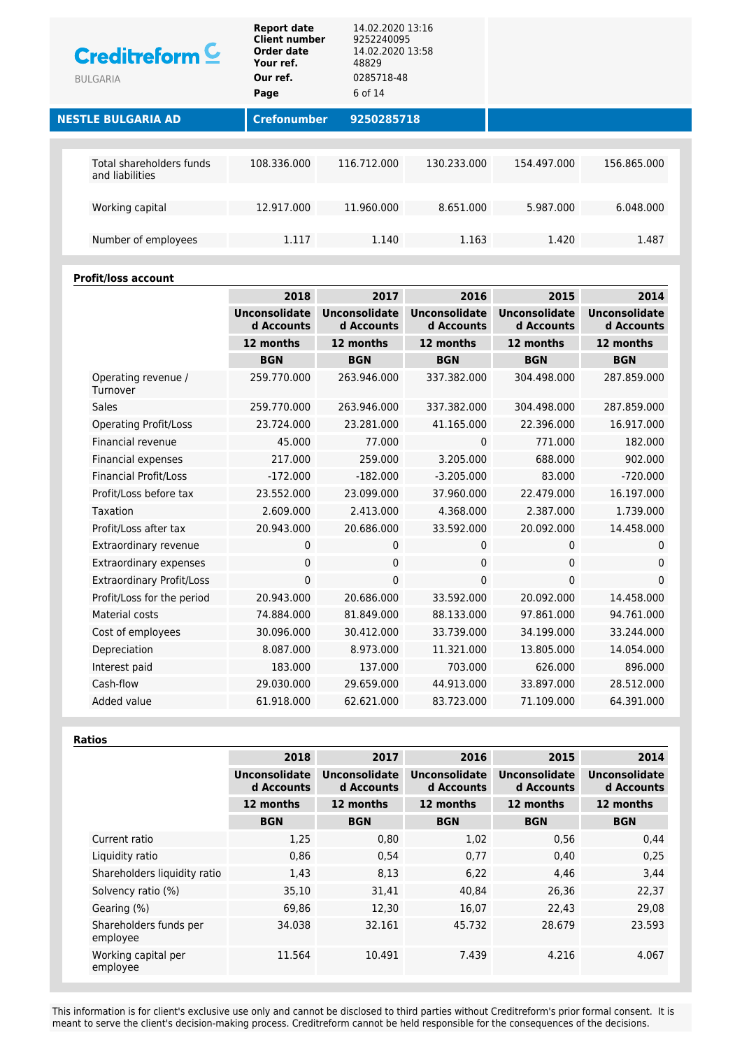| Creditreform $C$<br><b>BULGARIA</b>         | <b>Report date</b><br><b>Client number</b><br><b>Order date</b><br>Your ref.<br>Our ref.<br>Page | 14.02.2020 13:16<br>9252240095<br>14.02.2020 13:58<br>48829<br>0285718-48<br>6 of 14 |             |             |             |  |
|---------------------------------------------|--------------------------------------------------------------------------------------------------|--------------------------------------------------------------------------------------|-------------|-------------|-------------|--|
| <b>NESTLE BULGARIA AD</b>                   | <b>Crefonumber</b>                                                                               | 9250285718                                                                           |             |             |             |  |
|                                             |                                                                                                  |                                                                                      |             |             |             |  |
| Total shareholders funds<br>and liabilities | 108.336.000                                                                                      | 116.712.000                                                                          | 130.233.000 | 154.497.000 | 156.865.000 |  |
|                                             |                                                                                                  |                                                                                      |             |             |             |  |
| Working capital                             | 12.917.000                                                                                       | 11.960.000                                                                           | 8.651.000   | 5.987.000   | 6.048.000   |  |
|                                             |                                                                                                  |                                                                                      |             |             |             |  |
| Number of employees                         | 1.117                                                                                            | 1.140                                                                                | 1.163       | 1.420       | 1.487       |  |
|                                             |                                                                                                  |                                                                                      |             |             |             |  |

### **Profit/loss account**

|                                  | 2018                               | 2017                               | 2016                               | 2015                               | 2014                               |
|----------------------------------|------------------------------------|------------------------------------|------------------------------------|------------------------------------|------------------------------------|
|                                  | <b>Unconsolidate</b><br>d Accounts | <b>Unconsolidate</b><br>d Accounts | <b>Unconsolidate</b><br>d Accounts | <b>Unconsolidate</b><br>d Accounts | <b>Unconsolidate</b><br>d Accounts |
|                                  | 12 months                          | 12 months                          | 12 months                          | 12 months                          | 12 months                          |
|                                  | <b>BGN</b>                         | <b>BGN</b>                         | <b>BGN</b>                         | <b>BGN</b>                         | <b>BGN</b>                         |
| Operating revenue /<br>Turnover  | 259.770.000                        | 263.946.000                        | 337.382.000                        | 304.498.000                        | 287.859.000                        |
| <b>Sales</b>                     | 259.770.000                        | 263.946.000                        | 337.382.000                        | 304.498.000                        | 287.859.000                        |
| <b>Operating Profit/Loss</b>     | 23.724.000                         | 23.281.000                         | 41.165.000                         | 22.396.000                         | 16.917.000                         |
| <b>Financial revenue</b>         | 45.000                             | 77.000                             | $\Omega$                           | 771.000                            | 182.000                            |
| Financial expenses               | 217.000                            | 259.000                            | 3.205.000                          | 688.000                            | 902.000                            |
| <b>Financial Profit/Loss</b>     | $-172.000$                         | $-182.000$                         | $-3.205.000$                       | 83.000                             | $-720.000$                         |
| Profit/Loss before tax           | 23.552.000                         | 23.099.000                         | 37.960.000                         | 22.479.000                         | 16.197.000                         |
| Taxation                         | 2.609.000                          | 2.413.000                          | 4.368.000                          | 2.387.000                          | 1.739.000                          |
| Profit/Loss after tax            | 20.943.000                         | 20.686.000                         | 33.592.000                         | 20.092.000                         | 14.458.000                         |
| Extraordinary revenue            | 0                                  | 0                                  | 0                                  | $\mathbf 0$                        | $\mathbf 0$                        |
| <b>Extraordinary expenses</b>    | 0                                  | 0                                  | 0                                  | $\pmb{0}$                          | $\mathbf{0}$                       |
| <b>Extraordinary Profit/Loss</b> | 0                                  | 0                                  | 0                                  | 0                                  | $\mathbf 0$                        |
| Profit/Loss for the period       | 20.943.000                         | 20.686.000                         | 33.592.000                         | 20.092.000                         | 14.458.000                         |
| Material costs                   | 74.884.000                         | 81.849.000                         | 88.133.000                         | 97.861.000                         | 94.761.000                         |
| Cost of employees                | 30.096.000                         | 30.412.000                         | 33.739.000                         | 34.199.000                         | 33.244.000                         |
| Depreciation                     | 8.087.000                          | 8.973.000                          | 11.321.000                         | 13.805.000                         | 14.054.000                         |
| Interest paid                    | 183.000                            | 137.000                            | 703.000                            | 626.000                            | 896.000                            |
| Cash-flow                        | 29.030.000                         | 29.659.000                         | 44.913.000                         | 33.897.000                         | 28.512.000                         |
| Added value                      | 61.918.000                         | 62.621.000                         | 83.723.000                         | 71.109.000                         | 64.391.000                         |

**Ratios**

| 2018                               | 2017                               | 2016                               | 2015                        | 2014                               |
|------------------------------------|------------------------------------|------------------------------------|-----------------------------|------------------------------------|
| <b>Unconsolidate</b><br>d Accounts | <b>Unconsolidate</b><br>d Accounts | <b>Unconsolidate</b><br>d Accounts | Unconsolidate<br>d Accounts | <b>Unconsolidate</b><br>d Accounts |
| 12 months                          | 12 months                          | 12 months                          | 12 months                   | 12 months                          |
| <b>BGN</b>                         | <b>BGN</b>                         | <b>BGN</b>                         | <b>BGN</b>                  | <b>BGN</b>                         |
| 1,25                               | 0,80                               | 1,02                               | 0,56                        | 0,44                               |
| 0,86                               | 0,54                               | 0,77                               | 0,40                        | 0,25                               |
| 1,43                               | 8,13                               | 6,22                               | 4,46                        | 3,44                               |
| 35,10                              | 31,41                              | 40,84                              | 26,36                       | 22,37                              |
| 69,86                              | 12,30                              | 16,07                              | 22,43                       | 29,08                              |
| 34.038                             | 32.161                             | 45.732                             | 28.679                      | 23.593                             |
| 11.564                             | 10.491                             | 7.439                              | 4.216                       | 4.067                              |
|                                    |                                    |                                    |                             |                                    |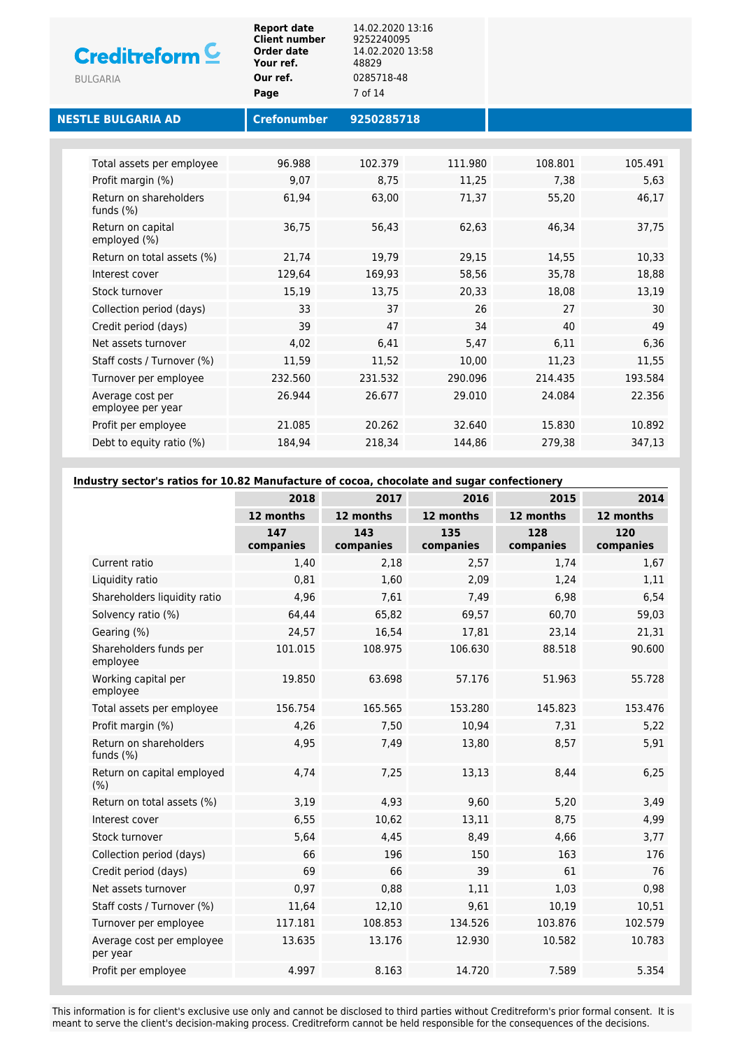| <b>Creditreform</b><br><b>BULGARIA</b> | <b>Report date</b><br><b>Client number</b><br>Order date<br>Your ref.<br>Our ref.<br>Page | 14.02.2020 13:16<br>9252240095<br>14.02.2020 13:58<br>48829<br>0285718-48<br>7 of 14 |         |         |         |  |
|----------------------------------------|-------------------------------------------------------------------------------------------|--------------------------------------------------------------------------------------|---------|---------|---------|--|
| <b>NESTLE BULGARIA AD</b>              | <b>Crefonumber</b>                                                                        | 9250285718                                                                           |         |         |         |  |
|                                        |                                                                                           |                                                                                      |         |         |         |  |
| Total assets per employee              | 96.988                                                                                    | 102.379                                                                              | 111.980 | 108.801 | 105.491 |  |
| Profit margin (%)                      | 9,07                                                                                      | 8,75                                                                                 | 11,25   | 7,38    | 5,63    |  |
| Return on shareholders<br>funds $(\%)$ | 61,94                                                                                     | 63,00                                                                                | 71,37   | 55,20   | 46,17   |  |
| Return on capital<br>employed (%)      | 36,75                                                                                     | 56,43                                                                                | 62,63   | 46.34   | 37,75   |  |
| Return on total assets (%)             | 21,74                                                                                     | 19,79                                                                                | 29,15   | 14,55   | 10,33   |  |
| Interest cover                         | 129.64                                                                                    | 169,93                                                                               | 58,56   | 35,78   | 18,88   |  |
| Stock turnover                         | 15,19                                                                                     | 13,75                                                                                | 20,33   | 18,08   | 13,19   |  |
| Collection period (days)               | 33                                                                                        | 37                                                                                   | 26      | 27      | 30      |  |
| Credit period (days)                   | 39                                                                                        | 47                                                                                   | 34      | 40      | 49      |  |
| Net assets turnover                    | 4,02                                                                                      | 6,41                                                                                 | 5,47    | 6,11    | 6,36    |  |
| Staff costs / Turnover (%)             | 11,59                                                                                     | 11,52                                                                                | 10,00   | 11,23   | 11,55   |  |
| Turnover per employee                  | 232.560                                                                                   | 231.532                                                                              | 290.096 | 214.435 | 193.584 |  |
| Average cost per<br>employee per year  | 26.944                                                                                    | 26.677                                                                               | 29.010  | 24.084  | 22.356  |  |
| Profit per employee                    | 21.085                                                                                    | 20.262                                                                               | 32.640  | 15.830  | 10.892  |  |
| Debt to equity ratio (%)               | 184,94                                                                                    | 218,34                                                                               | 144,86  | 279,38  | 347,13  |  |

**Industry sector's ratios for 10.82 Manufacture of cocoa, chocolate and sugar confectionery**

|                                        | 2018             | 2017             | 2016             | 2015             | 2014             |
|----------------------------------------|------------------|------------------|------------------|------------------|------------------|
|                                        | 12 months        | 12 months        | 12 months        | 12 months        | 12 months        |
|                                        | 147<br>companies | 143<br>companies | 135<br>companies | 128<br>companies | 120<br>companies |
| Current ratio                          | 1,40             | 2,18             | 2,57             | 1,74             | 1,67             |
| Liquidity ratio                        | 0,81             | 1,60             | 2,09             | 1,24             | 1,11             |
| Shareholders liquidity ratio           | 4,96             | 7,61             | 7,49             | 6,98             | 6,54             |
| Solvency ratio (%)                     | 64,44            | 65,82            | 69,57            | 60,70            | 59,03            |
| Gearing (%)                            | 24,57            | 16,54            | 17,81            | 23,14            | 21,31            |
| Shareholders funds per<br>employee     | 101.015          | 108.975          | 106.630          | 88.518           | 90.600           |
| Working capital per<br>employee        | 19.850           | 63.698           | 57.176           | 51.963           | 55.728           |
| Total assets per employee              | 156.754          | 165.565          | 153.280          | 145.823          | 153.476          |
| Profit margin (%)                      | 4,26             | 7,50             | 10,94            | 7,31             | 5,22             |
| Return on shareholders<br>funds $(\%)$ | 4,95             | 7,49             | 13,80            | 8,57             | 5,91             |
| Return on capital employed<br>(% )     | 4,74             | 7,25             | 13,13            | 8,44             | 6,25             |
| Return on total assets (%)             | 3,19             | 4,93             | 9,60             | 5,20             | 3,49             |
| Interest cover                         | 6,55             | 10,62            | 13,11            | 8,75             | 4,99             |
| Stock turnover                         | 5,64             | 4,45             | 8,49             | 4,66             | 3,77             |
| Collection period (days)               | 66               | 196              | 150              | 163              | 176              |
| Credit period (days)                   | 69               | 66               | 39               | 61               | 76               |
| Net assets turnover                    | 0,97             | 0,88             | 1,11             | 1,03             | 0,98             |
| Staff costs / Turnover (%)             | 11,64            | 12,10            | 9,61             | 10,19            | 10,51            |
| Turnover per employee                  | 117.181          | 108.853          | 134.526          | 103.876          | 102.579          |
| Average cost per employee<br>per year  | 13.635           | 13.176           | 12.930           | 10.582           | 10.783           |
| Profit per employee                    | 4.997            | 8.163            | 14.720           | 7.589            | 5.354            |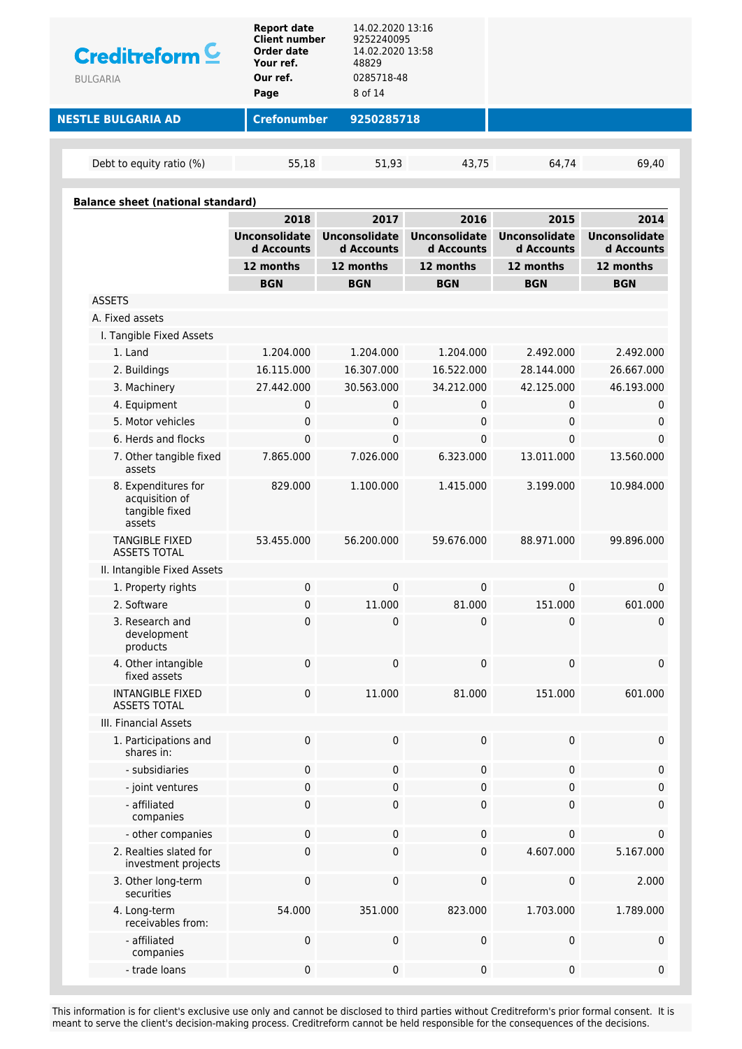| Creditreform <sup>C</sup><br><b>BULGARIA</b>                      | <b>Report date</b><br><b>Client number</b><br>Order date<br>Your ref.<br>Our ref.<br>Page | 14.02.2020 13:16<br>9252240095<br>14.02.2020 13:58<br>48829<br>0285718-48<br>8 of 14 |                                    |                                    |                                    |
|-------------------------------------------------------------------|-------------------------------------------------------------------------------------------|--------------------------------------------------------------------------------------|------------------------------------|------------------------------------|------------------------------------|
| <b>NESTLE BULGARIA AD</b>                                         | <b>Crefonumber</b>                                                                        | 9250285718                                                                           |                                    |                                    |                                    |
| Debt to equity ratio (%)                                          | 55,18                                                                                     | 51,93                                                                                | 43,75                              | 64,74                              | 69,40                              |
|                                                                   |                                                                                           |                                                                                      |                                    |                                    |                                    |
| <b>Balance sheet (national standard)</b>                          | 2018                                                                                      | 2017                                                                                 | 2016                               | 2015                               | 2014                               |
|                                                                   | <b>Unconsolidate</b><br>d Accounts                                                        | <b>Unconsolidate</b><br>d Accounts                                                   | <b>Unconsolidate</b><br>d Accounts | <b>Unconsolidate</b><br>d Accounts | <b>Unconsolidate</b><br>d Accounts |
|                                                                   | 12 months                                                                                 | 12 months                                                                            | 12 months                          | 12 months                          | 12 months                          |
|                                                                   | <b>BGN</b>                                                                                | <b>BGN</b>                                                                           | <b>BGN</b>                         | <b>BGN</b>                         | <b>BGN</b>                         |
| <b>ASSETS</b>                                                     |                                                                                           |                                                                                      |                                    |                                    |                                    |
| A. Fixed assets                                                   |                                                                                           |                                                                                      |                                    |                                    |                                    |
| I. Tangible Fixed Assets                                          |                                                                                           |                                                                                      |                                    |                                    |                                    |
| 1. Land                                                           | 1.204.000                                                                                 | 1.204.000                                                                            | 1.204.000                          | 2.492.000                          | 2.492.000                          |
| 2. Buildings                                                      | 16.115.000                                                                                | 16.307.000                                                                           | 16.522.000                         | 28.144.000                         | 26.667.000                         |
| 3. Machinery                                                      | 27.442.000                                                                                | 30.563.000                                                                           | 34.212.000                         | 42.125.000                         | 46.193.000                         |
| 4. Equipment                                                      | 0                                                                                         | 0                                                                                    | 0                                  | 0                                  | 0                                  |
| 5. Motor vehicles                                                 | 0                                                                                         | 0                                                                                    | 0                                  | 0                                  | 0                                  |
| 6. Herds and flocks                                               | 0                                                                                         | 0                                                                                    | $\mathbf{0}$                       | $\mathbf{0}$                       | 0                                  |
| 7. Other tangible fixed<br>assets                                 | 7.865.000                                                                                 | 7.026.000                                                                            | 6.323.000                          | 13.011.000                         | 13.560.000                         |
| 8. Expenditures for<br>acquisition of<br>tangible fixed<br>assets | 829.000                                                                                   | 1.100.000                                                                            | 1.415.000                          | 3.199.000                          | 10.984.000                         |
| <b>TANGIBLE FIXED</b><br><b>ASSETS TOTAL</b>                      | 53.455.000                                                                                | 56.200.000                                                                           | 59.676.000                         | 88.971.000                         | 99.896.000                         |
| II. Intangible Fixed Assets                                       |                                                                                           |                                                                                      |                                    |                                    |                                    |
| 1. Property rights                                                | 0                                                                                         | 0                                                                                    | $\mathbf 0$                        | 0                                  | 0                                  |
| 2. Software                                                       | 0                                                                                         | 11.000                                                                               | 81.000                             | 151.000                            | 601.000                            |
| 3. Research and<br>development<br>products                        | 0                                                                                         | 0                                                                                    | 0                                  | 0                                  | 0                                  |
| 4. Other intangible<br>fixed assets                               | 0                                                                                         | $\pmb{0}$                                                                            | $\mathbf 0$                        | $\pmb{0}$                          | 0                                  |
| <b>INTANGIBLE FIXED</b><br><b>ASSETS TOTAL</b>                    | 0                                                                                         | 11.000                                                                               | 81.000                             | 151.000                            | 601.000                            |
| III. Financial Assets                                             |                                                                                           |                                                                                      |                                    |                                    |                                    |
| 1. Participations and<br>shares in:                               | 0                                                                                         | 0                                                                                    | 0                                  | $\pmb{0}$                          | 0                                  |
| - subsidiaries                                                    | 0                                                                                         | 0                                                                                    | $\pmb{0}$                          | 0                                  | 0                                  |
| - joint ventures                                                  | 0                                                                                         | 0                                                                                    | $\pmb{0}$                          | 0                                  | 0                                  |
| - affiliated<br>companies                                         | 0                                                                                         | 0                                                                                    | 0                                  | 0                                  | 0                                  |
| - other companies                                                 | 0                                                                                         | 0                                                                                    | 0                                  | 0                                  | 0                                  |
| 2. Realties slated for<br>investment projects                     | 0                                                                                         | 0                                                                                    | $\mathbf 0$                        | 4.607.000                          | 5.167.000                          |
| 3. Other long-term<br>securities                                  | 0                                                                                         | 0                                                                                    | $\mathbf 0$                        | $\pmb{0}$                          | 2.000                              |
| 4. Long-term<br>receivables from:                                 | 54.000                                                                                    | 351.000                                                                              | 823.000                            | 1.703.000                          | 1.789.000                          |
| - affiliated<br>companies                                         | 0                                                                                         | 0                                                                                    | $\pmb{0}$                          | $\pmb{0}$                          | 0                                  |
| - trade loans                                                     | $\pmb{0}$                                                                                 | 0                                                                                    | 0                                  | $\pmb{0}$                          | 0                                  |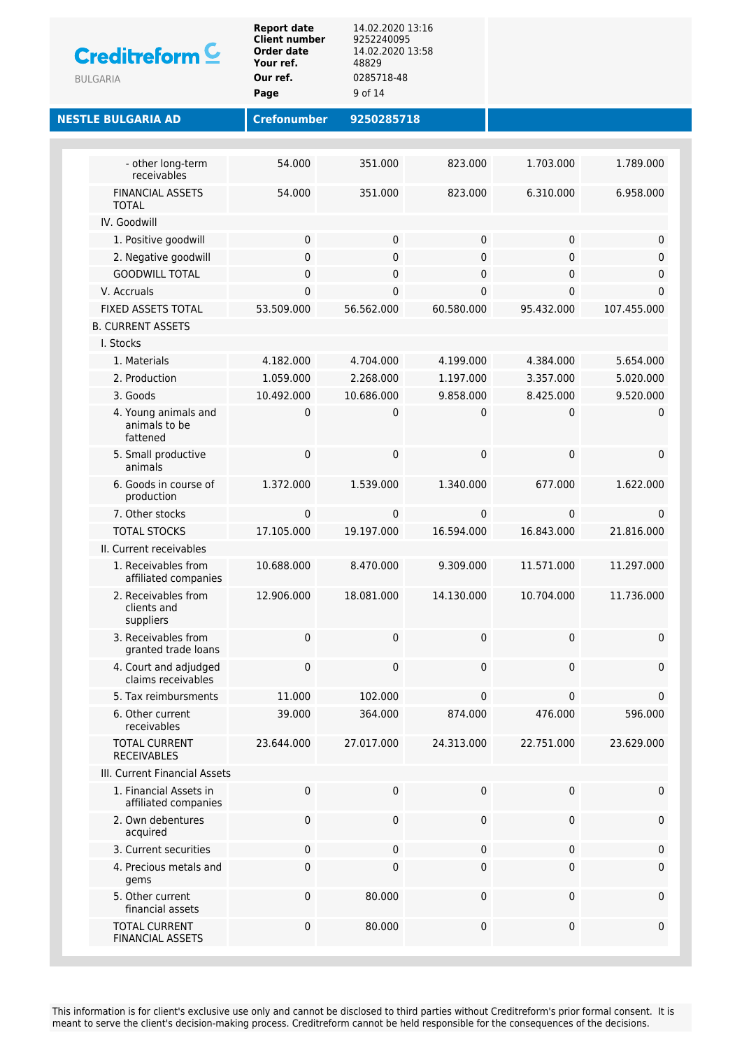| Creditreform <sup>C</sup><br><b>BULGARIA</b>      | <b>Report date</b><br><b>Client number</b><br><b>Order date</b><br>Your ref.<br>Our ref.<br>Page | 14.02.2020 13:16<br>9252240095<br>14.02.2020 13:58<br>48829<br>0285718-48<br>9 of 14 |             |            |              |
|---------------------------------------------------|--------------------------------------------------------------------------------------------------|--------------------------------------------------------------------------------------|-------------|------------|--------------|
| <b>NESTLE BULGARIA AD</b>                         | <b>Crefonumber</b>                                                                               | 9250285718                                                                           |             |            |              |
|                                                   |                                                                                                  |                                                                                      |             |            |              |
| - other long-term<br>receivables                  | 54.000                                                                                           | 351.000                                                                              | 823.000     | 1.703.000  | 1.789.000    |
| <b>FINANCIAL ASSETS</b><br><b>TOTAL</b>           | 54.000                                                                                           | 351.000                                                                              | 823.000     | 6.310.000  | 6.958.000    |
| IV. Goodwill                                      |                                                                                                  |                                                                                      |             |            |              |
| 1. Positive goodwill                              | 0                                                                                                | $\pmb{0}$                                                                            | 0           | 0          | 0            |
| 2. Negative goodwill                              | 0                                                                                                | $\pmb{0}$                                                                            | 0           | 0          | 0            |
| <b>GOODWILL TOTAL</b>                             | 0                                                                                                | $\pmb{0}$                                                                            | $\pmb{0}$   | 0          | 0            |
| V. Accruals                                       | 0                                                                                                | $\pmb{0}$                                                                            | 0           | 0          | 0            |
| FIXED ASSETS TOTAL                                | 53.509.000                                                                                       | 56.562.000                                                                           | 60.580.000  | 95.432.000 | 107.455.000  |
| <b>B. CURRENT ASSETS</b>                          |                                                                                                  |                                                                                      |             |            |              |
| I. Stocks                                         |                                                                                                  |                                                                                      |             |            |              |
| 1. Materials                                      | 4.182.000                                                                                        | 4.704.000                                                                            | 4.199.000   | 4.384.000  | 5.654.000    |
| 2. Production                                     | 1.059.000                                                                                        | 2.268.000                                                                            | 1.197.000   | 3.357.000  | 5.020.000    |
| 3. Goods                                          | 10.492.000                                                                                       | 10.686.000                                                                           | 9.858.000   | 8.425.000  | 9.520.000    |
| 4. Young animals and<br>animals to be<br>fattened | 0                                                                                                | 0                                                                                    | 0           | 0          | 0            |
| 5. Small productive<br>animals                    | 0                                                                                                | $\pmb{0}$                                                                            | 0           | 0          | 0            |
| 6. Goods in course of<br>production               | 1.372.000                                                                                        | 1.539.000                                                                            | 1.340.000   | 677.000    | 1.622.000    |
| 7. Other stocks                                   | 0                                                                                                | 0                                                                                    | $\mathbf 0$ | 0          | $\mathbf{0}$ |
| <b>TOTAL STOCKS</b>                               | 17.105.000                                                                                       | 19.197.000                                                                           | 16.594.000  | 16.843.000 | 21.816.000   |
| II. Current receivables                           |                                                                                                  |                                                                                      |             |            |              |
| 1. Receivables from<br>affiliated companies       | 10.688.000                                                                                       | 8.470.000                                                                            | 9.309.000   | 11.571.000 | 11.297.000   |
| 2. Receivables from<br>clients and<br>suppliers   | 12.906.000                                                                                       | 18.081.000                                                                           | 14.130.000  | 10.704.000 | 11.736.000   |
| 3. Receivables from<br>granted trade loans        | 0                                                                                                | $\pmb{0}$                                                                            | 0           | 0          | 0            |
| 4. Court and adjudged<br>claims receivables       | 0                                                                                                | $\pmb{0}$                                                                            | 0           | 0          | 0            |
| 5. Tax reimbursments                              | 11.000                                                                                           | 102.000                                                                              | 0           | 0          | 0            |
| 6. Other current<br>receivables                   | 39.000                                                                                           | 364.000                                                                              | 874.000     | 476.000    | 596.000      |
| <b>TOTAL CURRENT</b><br><b>RECEIVABLES</b>        | 23.644.000                                                                                       | 27.017.000                                                                           | 24.313.000  | 22.751.000 | 23.629.000   |
| III. Current Financial Assets                     |                                                                                                  |                                                                                      |             |            |              |
| 1. Financial Assets in<br>affiliated companies    | 0                                                                                                | $\mathsf{O}\xspace$                                                                  | 0           | 0          | 0            |
| 2. Own debentures<br>acquired                     | 0                                                                                                | 0                                                                                    | 0           | 0          | 0            |
| 3. Current securities                             | 0                                                                                                | $\pmb{0}$                                                                            | 0           | 0          | 0            |
| 4. Precious metals and<br>gems                    | 0                                                                                                | $\pmb{0}$                                                                            | 0           | 0          | 0            |
| 5. Other current<br>financial assets              | $\pmb{0}$                                                                                        | 80.000                                                                               | 0           | 0          | 0            |
| <b>TOTAL CURRENT</b><br><b>FINANCIAL ASSETS</b>   | 0                                                                                                | 80.000                                                                               | 0           | 0          | 0            |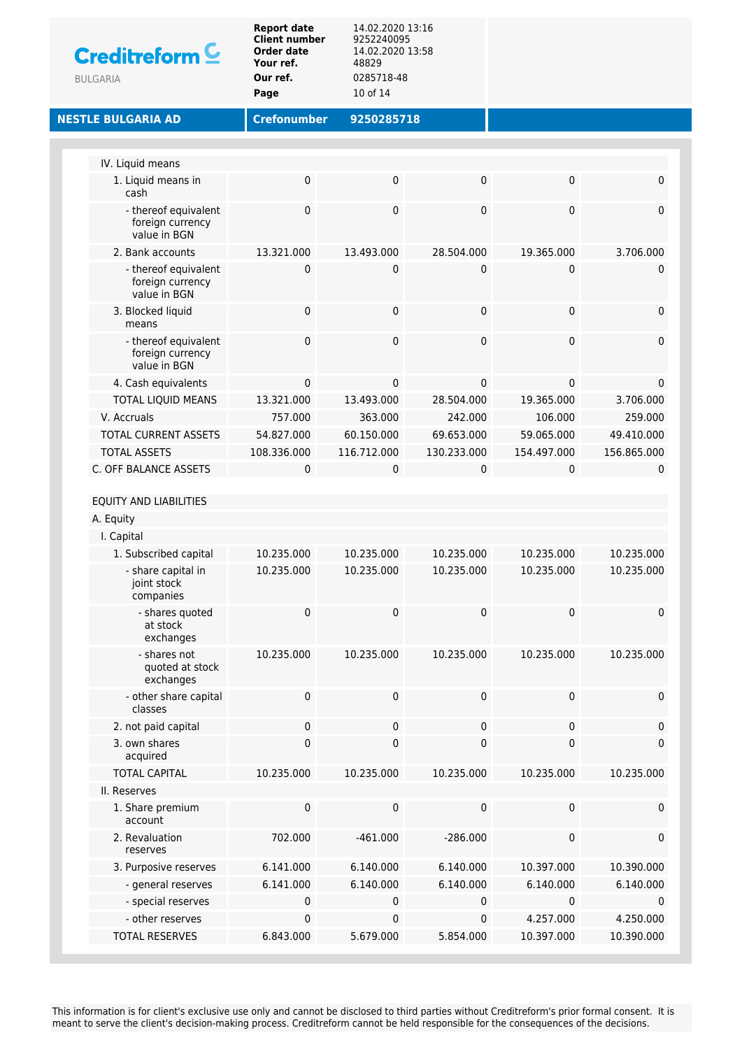|                                                          | Our ref.<br>Page   | 0285718-48<br>10 of 14 |                  |             |                          |
|----------------------------------------------------------|--------------------|------------------------|------------------|-------------|--------------------------|
| <b>NESTLE BULGARIA AD</b>                                | <b>Crefonumber</b> | 9250285718             |                  |             |                          |
|                                                          |                    |                        |                  |             |                          |
| IV. Liquid means<br>1. Liquid means in                   | 0                  | 0                      | $\pmb{0}$        | 0           | $\pmb{0}$                |
| cash                                                     |                    |                        |                  |             |                          |
| - thereof equivalent<br>foreign currency<br>value in BGN | 0                  | 0                      | $\pmb{0}$        | 0           | $\mathbf 0$              |
| 2. Bank accounts                                         | 13.321.000         | 13.493.000             | 28.504.000       | 19.365.000  | 3.706.000                |
| - thereof equivalent<br>foreign currency<br>value in BGN | 0                  | $\mathbf 0$            | $\mathbf 0$      | 0           | 0                        |
| 3. Blocked liquid<br>means                               | 0                  | 0                      | $\mathbf 0$      | 0           | $\pmb{0}$                |
| - thereof equivalent<br>foreign currency<br>value in BGN | 0                  | 0                      | $\mathbf 0$      | 0           | $\mathbf 0$              |
| 4. Cash equivalents                                      | 0                  | 0                      | 0                | 0           | $\mathbf 0$              |
| <b>TOTAL LIQUID MEANS</b>                                | 13.321.000         | 13.493.000             | 28.504.000       | 19.365.000  | 3.706.000                |
| V. Accruals                                              | 757.000            | 363.000                | 242.000          | 106.000     | 259.000                  |
| <b>TOTAL CURRENT ASSETS</b>                              | 54.827.000         | 60.150.000             | 69.653.000       | 59.065.000  | 49.410.000               |
| <b>TOTAL ASSETS</b><br>C. OFF BALANCE ASSETS             | 108.336.000        | 116.712.000            | 130.233.000      | 154.497.000 | 156.865.000              |
| A. Equity<br>I. Capital                                  |                    |                        |                  |             |                          |
| 1. Subscribed capital                                    | 10.235.000         | 10.235.000             | 10.235.000       | 10.235.000  | 10.235.000               |
| - share capital in<br>joint stock<br>companies           | 10.235.000         | 10.235.000             | 10.235.000       | 10.235.000  | 10.235.000               |
| - shares quoted<br>at stock<br>exchanges                 | 0                  | 0                      | 0                | 0           | $\Omega$                 |
| - shares not<br>quoted at stock<br>exchanges             | 10.235.000         | 10.235.000             | 10.235.000       | 10.235.000  | 10.235.000               |
| - other share capital<br>classes                         | 0                  | 0                      | $\pmb{0}$        | 0           | $\pmb{0}$                |
| 2. not paid capital<br>3. own shares                     | 0<br>0             | 0<br>0                 | 0<br>$\mathbf 0$ | 0<br>0      | $\pmb{0}$<br>$\mathbf 0$ |
| acquired<br><b>TOTAL CAPITAL</b>                         |                    |                        |                  |             |                          |
| II. Reserves                                             | 10.235.000         | 10.235.000             | 10.235.000       | 10.235.000  | 10.235.000               |
| 1. Share premium                                         | 0                  | 0                      | $\pmb{0}$        | 0           | $\mathbf 0$              |
| account<br>2. Revaluation                                | 702.000            | $-461.000$             | $-286.000$       | 0           | $\pmb{0}$                |
| reserves                                                 |                    |                        |                  |             |                          |
| 3. Purposive reserves                                    | 6.141.000          | 6.140.000              | 6.140.000        | 10.397.000  | 10.390.000               |
| - general reserves                                       | 6.141.000          | 6.140.000              | 6.140.000        | 6.140.000   | 6.140.000                |
| - special reserves                                       | 0                  | 0                      | 0                | 0           | $\mathbf 0$              |
| - other reserves                                         | 0                  | 0                      | $\mathbf 0$      | 4.257.000   | 4.250.000                |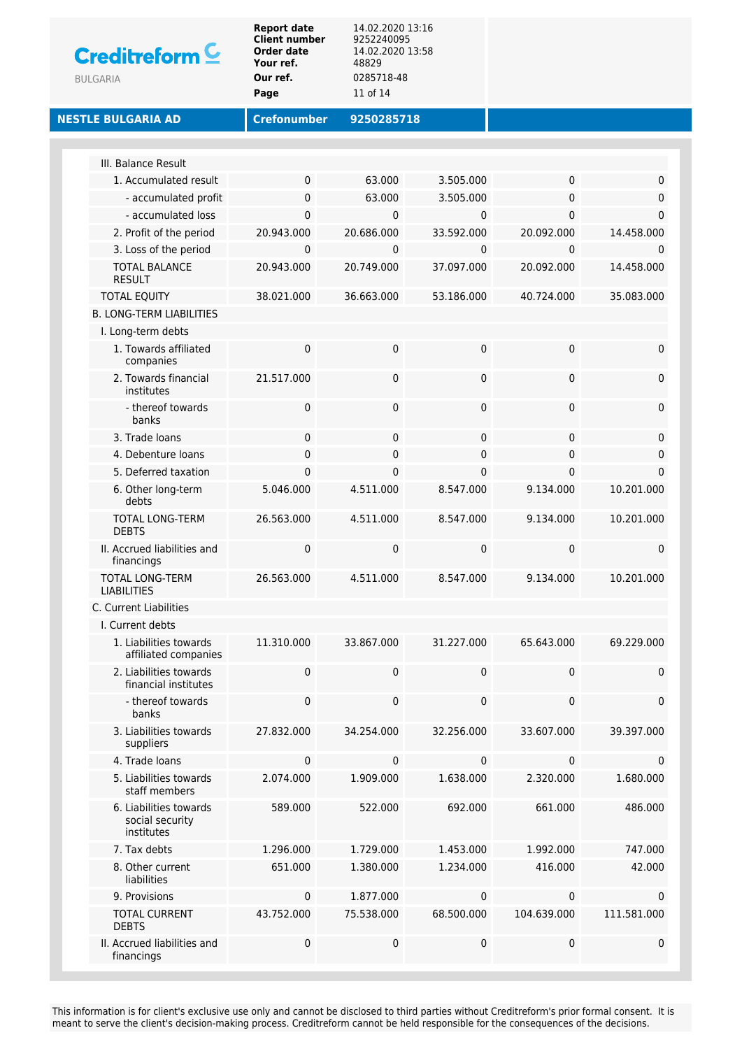| <b>Creditreform</b> C<br><b>BULGARIA</b>                | <b>Report date</b><br><b>Client number</b><br>Order date<br>Your ref.<br>Our ref.<br>Page | 14.02.2020 13:16<br>9252240095<br>14.02.2020 13:58<br>48829<br>0285718-48<br>11 of 14 |                 |                 |                 |
|---------------------------------------------------------|-------------------------------------------------------------------------------------------|---------------------------------------------------------------------------------------|-----------------|-----------------|-----------------|
| <b>NESTLE BULGARIA AD</b>                               | <b>Crefonumber</b>                                                                        | 9250285718                                                                            |                 |                 |                 |
| III. Balance Result                                     |                                                                                           |                                                                                       |                 |                 |                 |
| 1. Accumulated result                                   | 0                                                                                         | 63.000                                                                                | 3.505.000       | 0               | 0               |
| - accumulated profit                                    | 0                                                                                         | 63.000                                                                                | 3.505.000       | 0               | $\mathbf 0$     |
| - accumulated loss                                      | 0                                                                                         | 0                                                                                     | $\mathbf 0$     | 0               | $\Omega$        |
| 2. Profit of the period                                 | 20.943.000                                                                                | 20.686.000                                                                            | 33.592.000      | 20.092.000      | 14.458.000      |
| 3. Loss of the period                                   | 0                                                                                         | 0                                                                                     | $\mathbf 0$     | 0               | 0               |
| <b>TOTAL BALANCE</b><br><b>RESULT</b>                   | 20.943.000                                                                                | 20.749.000                                                                            | 37.097.000      | 20.092.000      | 14.458.000      |
| <b>TOTAL EQUITY</b>                                     | 38.021.000                                                                                | 36.663.000                                                                            | 53.186.000      | 40.724.000      | 35.083.000      |
| <b>B. LONG-TERM LIABILITIES</b>                         |                                                                                           |                                                                                       |                 |                 |                 |
| I. Long-term debts                                      |                                                                                           |                                                                                       |                 |                 |                 |
| 1. Towards affiliated<br>companies                      | 0                                                                                         | $\pmb{0}$                                                                             | $\mathbf 0$     | 0               | 0               |
| 2. Towards financial<br>institutes                      | 21.517.000                                                                                | $\pmb{0}$                                                                             | 0               | 0               | 0               |
| - thereof towards<br>banks                              | 0                                                                                         | $\pmb{0}$                                                                             | $\pmb{0}$       | 0               | 0               |
| 3. Trade loans                                          | 0                                                                                         | $\pmb{0}$                                                                             | 0               | 0               | $\mathbf 0$     |
| 4. Debenture loans                                      | 0                                                                                         | 0                                                                                     | $\mathbf 0$     | 0               | 0               |
| 5. Deferred taxation                                    | 0                                                                                         | 0                                                                                     | 0               | 0               | 0               |
| 6. Other long-term<br>debts                             | 5.046.000                                                                                 | 4.511.000                                                                             | 8.547.000       | 9.134.000       | 10.201.000      |
| TOTAL LONG-TERM<br><b>DEBTS</b>                         | 26.563.000                                                                                | 4.511.000                                                                             | 8.547.000       | 9.134.000       | 10.201.000      |
| II. Accrued liabilities and<br>financings               | 0                                                                                         | 0                                                                                     | $\mathbf 0$     | 0               | 0               |
| TOTAL LONG-TERM<br><b>LIABILITIES</b>                   | 26.563.000                                                                                | 4.511.000                                                                             | 8.547.000       | 9.134.000       | 10.201.000      |
| C. Current Liabilities                                  |                                                                                           |                                                                                       |                 |                 |                 |
| I. Current debts<br>1. Liabilities towards              |                                                                                           |                                                                                       |                 |                 |                 |
| affiliated companies<br>2. Liabilities towards          | 11.310.000<br>0                                                                           | 33.867.000<br>$\pmb{0}$                                                               | 31.227.000<br>0 | 65.643.000<br>0 | 69.229.000<br>0 |
| financial institutes<br>- thereof towards               | 0                                                                                         | 0                                                                                     | $\mathbf 0$     | 0               | 0               |
| banks<br>3. Liabilities towards                         | 27.832.000                                                                                | 34.254.000                                                                            | 32.256.000      | 33.607.000      | 39.397.000      |
| suppliers<br>4. Trade loans                             | 0                                                                                         | 0                                                                                     | $\mathbf 0$     |                 | 0               |
| 5. Liabilities towards<br>staff members                 | 2.074.000                                                                                 | 1.909.000                                                                             | 1.638.000       | 0<br>2.320.000  | 1.680.000       |
| 6. Liabilities towards<br>social security<br>institutes | 589.000                                                                                   | 522.000                                                                               | 692.000         | 661.000         | 486.000         |
| 7. Tax debts                                            | 1.296.000                                                                                 | 1.729.000                                                                             | 1.453.000       | 1.992.000       | 747.000         |
| 8. Other current<br>liabilities                         | 651.000                                                                                   | 1.380.000                                                                             | 1.234.000       | 416.000         | 42.000          |
| 9. Provisions                                           | 0                                                                                         | 1.877.000                                                                             | $\mathbf 0$     | 0               | 0               |
| <b>TOTAL CURRENT</b><br><b>DEBTS</b>                    | 43.752.000                                                                                | 75.538.000                                                                            | 68.500.000      | 104.639.000     | 111.581.000     |
| II. Accrued liabilities and<br>financings               | 0                                                                                         | $\pmb{0}$                                                                             | 0               | 0               | 0               |
|                                                         |                                                                                           |                                                                                       |                 |                 |                 |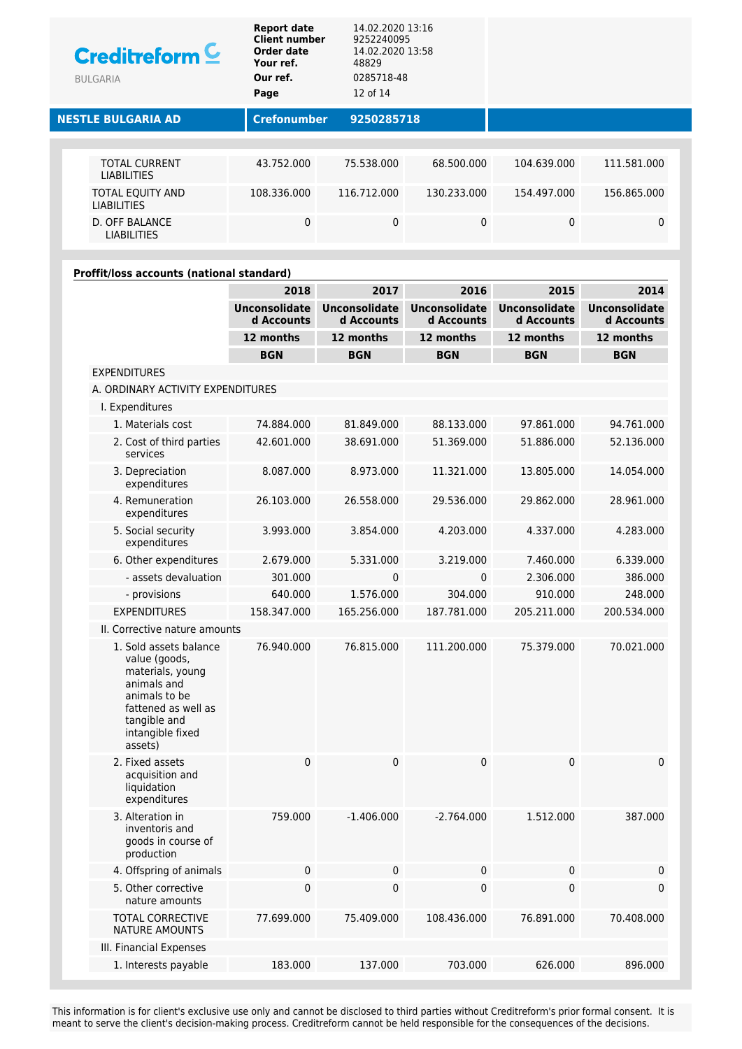| <b>Report date</b><br><b>Client number</b><br>Creditreform <sup>C</sup><br>Order date<br>Your ref.<br>Our ref.<br><b>BULGARIA</b><br>Page |                                            | 48829<br>12 of 14  | 14.02.2020 13:16<br>9252240095<br>14.02.2020 13:58<br>0285718-48 |              |             |              |
|-------------------------------------------------------------------------------------------------------------------------------------------|--------------------------------------------|--------------------|------------------------------------------------------------------|--------------|-------------|--------------|
| <b>NESTLE BULGARIA AD</b>                                                                                                                 |                                            | <b>Crefonumber</b> | 9250285718                                                       |              |             |              |
|                                                                                                                                           |                                            |                    |                                                                  |              |             |              |
|                                                                                                                                           | <b>TOTAL CURRENT</b><br><b>LIABILITIES</b> | 43.752.000         | 75.538.000                                                       | 68.500.000   | 104.639.000 | 111.581.000  |
|                                                                                                                                           | TOTAL EQUITY AND<br><b>LIABILITIES</b>     | 108.336.000        | 116.712.000                                                      | 130.233.000  | 154.497.000 | 156.865.000  |
|                                                                                                                                           | D. OFF BALANCE<br><b>LIABILITIES</b>       | 0                  | $\mathbf{0}$                                                     | $\mathbf{0}$ | 0           | $\mathbf{0}$ |

### **Proffit/loss accounts (national standard)**

|                                                                                                                                                                   | 2018                               | 2017                               | 2016                               | 2015                               | 2014                               |
|-------------------------------------------------------------------------------------------------------------------------------------------------------------------|------------------------------------|------------------------------------|------------------------------------|------------------------------------|------------------------------------|
|                                                                                                                                                                   | <b>Unconsolidate</b><br>d Accounts | <b>Unconsolidate</b><br>d Accounts | <b>Unconsolidate</b><br>d Accounts | <b>Unconsolidate</b><br>d Accounts | <b>Unconsolidate</b><br>d Accounts |
|                                                                                                                                                                   | 12 months                          | 12 months                          | 12 months                          | 12 months                          | 12 months                          |
|                                                                                                                                                                   | <b>BGN</b>                         | <b>BGN</b>                         | <b>BGN</b>                         | <b>BGN</b>                         | <b>BGN</b>                         |
| <b>EXPENDITURES</b>                                                                                                                                               |                                    |                                    |                                    |                                    |                                    |
| A. ORDINARY ACTIVITY EXPENDITURES                                                                                                                                 |                                    |                                    |                                    |                                    |                                    |
| I. Expenditures                                                                                                                                                   |                                    |                                    |                                    |                                    |                                    |
| 1. Materials cost                                                                                                                                                 | 74.884.000                         | 81.849.000                         | 88.133.000                         | 97.861.000                         | 94.761.000                         |
| 2. Cost of third parties<br>services                                                                                                                              | 42.601.000                         | 38.691.000                         | 51.369.000                         | 51.886.000                         | 52.136.000                         |
| 3. Depreciation<br>expenditures                                                                                                                                   | 8.087.000                          | 8.973.000                          | 11.321.000                         | 13.805.000                         | 14.054.000                         |
| 4. Remuneration<br>expenditures                                                                                                                                   | 26.103.000                         | 26.558.000                         | 29.536.000                         | 29.862.000                         | 28.961.000                         |
| 5. Social security<br>expenditures                                                                                                                                | 3.993.000                          | 3.854.000                          | 4.203.000                          | 4.337.000                          | 4.283.000                          |
| 6. Other expenditures                                                                                                                                             | 2.679.000                          | 5.331.000                          | 3.219.000                          | 7.460.000                          | 6.339.000                          |
| - assets devaluation                                                                                                                                              | 301.000                            | $\Omega$                           | 0                                  | 2.306.000                          | 386.000                            |
| - provisions                                                                                                                                                      | 640.000                            | 1.576.000                          | 304.000                            | 910.000                            | 248.000                            |
| <b>EXPENDITURES</b>                                                                                                                                               | 158.347.000                        | 165.256.000                        | 187.781.000                        | 205.211.000                        | 200.534.000                        |
| II. Corrective nature amounts                                                                                                                                     |                                    |                                    |                                    |                                    |                                    |
| 1. Sold assets balance<br>value (goods,<br>materials, young<br>animals and<br>animals to be<br>fattened as well as<br>tangible and<br>intangible fixed<br>assets) | 76.940.000                         | 76.815.000                         | 111.200.000                        | 75.379.000                         | 70.021.000                         |
| 2. Fixed assets<br>acquisition and<br>liquidation<br>expenditures                                                                                                 | 0                                  | 0                                  | 0                                  | 0                                  | 0                                  |
| 3. Alteration in<br>inventoris and<br>goods in course of<br>production                                                                                            | 759.000                            | $-1.406.000$                       | $-2.764.000$                       | 1.512.000                          | 387.000                            |
| 4. Offspring of animals                                                                                                                                           | 0                                  | 0                                  | 0                                  | 0                                  | $\pmb{0}$                          |
| 5. Other corrective<br>nature amounts                                                                                                                             | 0                                  | $\pmb{0}$                          | $\pmb{0}$                          | 0                                  | $\pmb{0}$                          |
| <b>TOTAL CORRECTIVE</b><br>NATURE AMOUNTS                                                                                                                         | 77.699.000                         | 75.409.000                         | 108.436.000                        | 76.891.000                         | 70.408.000                         |
| III. Financial Expenses                                                                                                                                           |                                    |                                    |                                    |                                    |                                    |
| 1. Interests payable                                                                                                                                              | 183.000                            | 137.000                            | 703.000                            | 626.000                            | 896.000                            |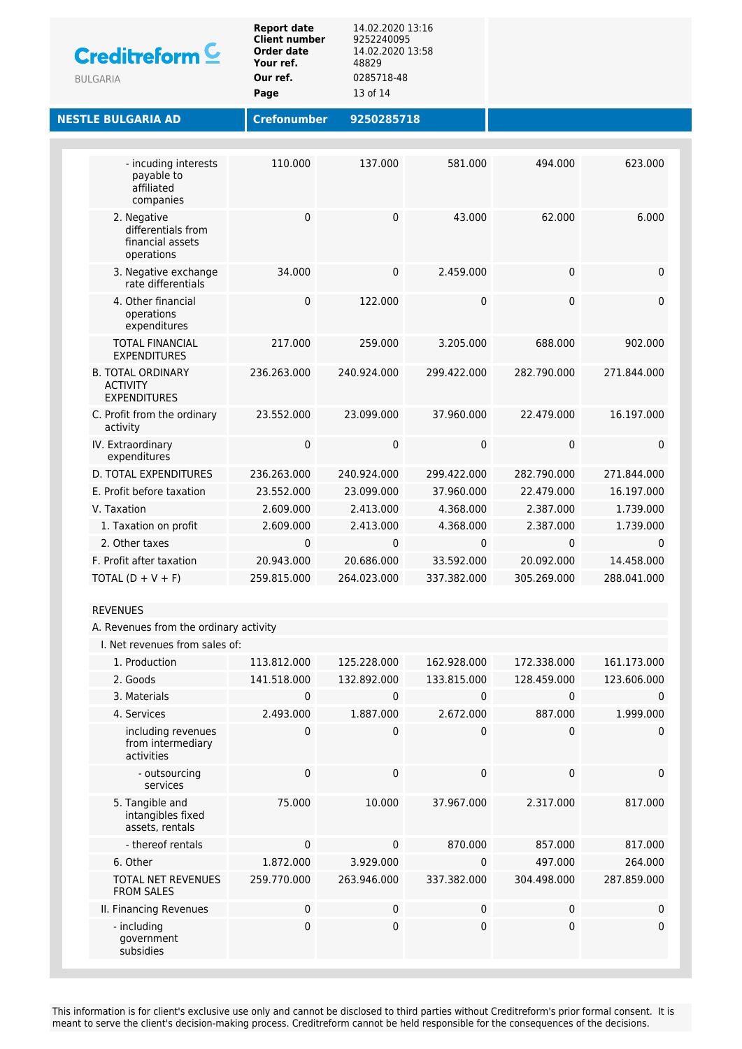| Creditreform <sup>C</sup><br><b>BULGARIA</b> |                                                                     | <b>Report date</b><br><b>Client number</b><br><b>Order date</b><br>Your ref.<br>Our ref.<br>Page | 14.02.2020 13:16<br>9252240095<br>14.02.2020 13:58<br>48829<br>0285718-48<br>13 of 14 |             |             |             |  |  |
|----------------------------------------------|---------------------------------------------------------------------|--------------------------------------------------------------------------------------------------|---------------------------------------------------------------------------------------|-------------|-------------|-------------|--|--|
| <b>NESTLE BULGARIA AD</b>                    |                                                                     | <b>Crefonumber</b>                                                                               | 9250285718                                                                            |             |             |             |  |  |
|                                              |                                                                     |                                                                                                  |                                                                                       |             |             |             |  |  |
|                                              | - incuding interests<br>payable to<br>affiliated<br>companies       | 110.000                                                                                          | 137.000                                                                               | 581.000     | 494.000     | 623.000     |  |  |
|                                              | 2. Negative<br>differentials from<br>financial assets<br>operations | 0                                                                                                | $\mathbf{0}$                                                                          | 43.000      | 62,000      | 6.000       |  |  |
|                                              | 3. Negative exchange<br>rate differentials                          | 34.000                                                                                           | 0                                                                                     | 2.459.000   | 0           | 0           |  |  |
|                                              | 4. Other financial<br>operations<br>expenditures                    | 0                                                                                                | 122.000                                                                               | 0           | 0           | 0           |  |  |
|                                              | <b>TOTAL FINANCIAL</b><br><b>EXPENDITURES</b>                       | 217.000                                                                                          | 259.000                                                                               | 3.205.000   | 688,000     | 902.000     |  |  |
|                                              | <b>B. TOTAL ORDINARY</b><br><b>ACTIVITY</b><br><b>EXPENDITURES</b>  | 236.263.000                                                                                      | 240.924.000                                                                           | 299.422.000 | 282.790.000 | 271.844.000 |  |  |
|                                              | C. Profit from the ordinary<br>activity                             | 23.552.000                                                                                       | 23.099.000                                                                            | 37.960.000  | 22.479.000  | 16.197.000  |  |  |
|                                              | IV. Extraordinary<br>expenditures                                   | 0                                                                                                | $\mathbf 0$                                                                           | 0           | 0           | 0           |  |  |
|                                              | <b>D. TOTAL EXPENDITURES</b>                                        | 236.263.000                                                                                      | 240.924.000                                                                           | 299.422.000 | 282.790.000 | 271.844.000 |  |  |
|                                              | E. Profit before taxation                                           | 23.552.000                                                                                       | 23.099.000                                                                            | 37.960.000  | 22.479.000  | 16.197.000  |  |  |
|                                              | V. Taxation                                                         | 2.609.000                                                                                        | 2.413.000                                                                             | 4.368.000   | 2.387.000   | 1.739.000   |  |  |
|                                              | 1. Taxation on profit                                               | 2.609.000                                                                                        | 2.413.000                                                                             | 4.368.000   | 2.387.000   | 1.739.000   |  |  |
|                                              | 2. Other taxes                                                      | 0                                                                                                | $\mathbf 0$                                                                           | 0           | 0           | 0           |  |  |
|                                              | F. Profit after taxation                                            | 20.943.000                                                                                       | 20.686.000                                                                            | 33.592.000  | 20.092.000  | 14.458.000  |  |  |
|                                              | TOTAL $(D + V + F)$                                                 | 259.815.000                                                                                      | 264.023.000                                                                           | 337.382.000 | 305.269.000 | 288.041.000 |  |  |
|                                              | <b>REVENUES</b>                                                     |                                                                                                  |                                                                                       |             |             |             |  |  |
|                                              | A. Revenues from the ordinary activity                              |                                                                                                  |                                                                                       |             |             |             |  |  |
|                                              | I. Net revenues from sales of:                                      |                                                                                                  |                                                                                       |             |             |             |  |  |
|                                              | 1. Production                                                       | 113.812.000                                                                                      | 125.228.000                                                                           | 162.928.000 | 172.338.000 | 161.173.000 |  |  |
|                                              | 2. Goods                                                            | 141.518.000                                                                                      | 132.892.000                                                                           | 133.815.000 | 128.459.000 | 123.606.000 |  |  |
|                                              | 3. Materials                                                        | 0                                                                                                | 0                                                                                     | $\mathbf 0$ | $\mathbf 0$ | $\mathbf 0$ |  |  |
|                                              | 4. Services                                                         | 2.493.000                                                                                        | 1.887.000                                                                             | 2.672.000   | 887.000     | 1.999.000   |  |  |
|                                              | including revenues<br>from intermediary<br>activities               | 0                                                                                                | 0                                                                                     | 0           | 0           | 0           |  |  |
|                                              | - outsourcing<br>services                                           | 0                                                                                                | 0                                                                                     | 0           | 0           | 0           |  |  |
|                                              | 5. Tangible and<br>intangibles fixed<br>assets, rentals             | 75.000                                                                                           | 10.000                                                                                | 37.967.000  | 2.317.000   | 817.000     |  |  |
|                                              | - thereof rentals                                                   | 0                                                                                                | $\mathbf 0$                                                                           | 870.000     | 857.000     | 817.000     |  |  |
|                                              | 6. Other                                                            | 1.872.000                                                                                        | 3.929.000                                                                             | 0           | 497.000     | 264.000     |  |  |
|                                              | TOTAL NET REVENUES<br><b>FROM SALES</b>                             | 259.770.000                                                                                      | 263.946.000                                                                           | 337.382.000 | 304.498.000 | 287.859.000 |  |  |
|                                              | II. Financing Revenues                                              | 0                                                                                                | 0                                                                                     | 0           | 0           | 0           |  |  |
|                                              | - including<br>government<br>subsidies                              | 0                                                                                                | $\mathbf 0$                                                                           | $\mathbf 0$ | 0           | 0           |  |  |